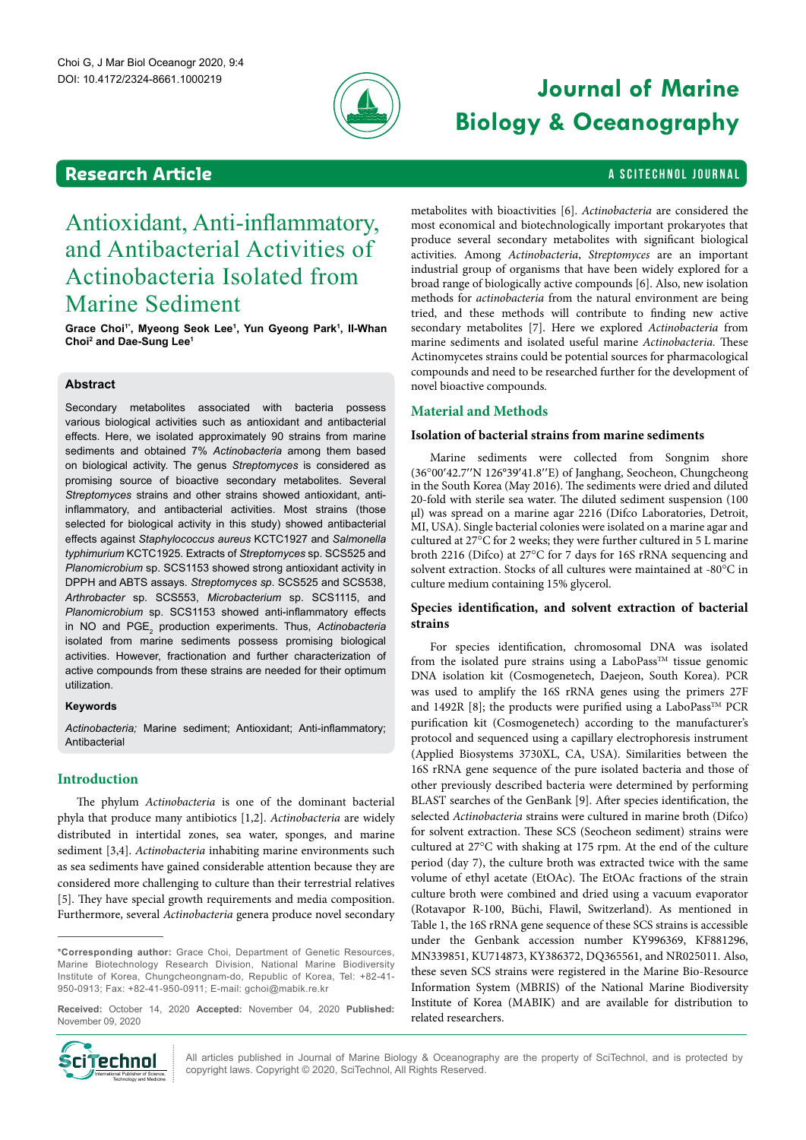

# **Journal of Marine Biology & Oceanography**

# **Research Article And Article A SCITECHNOL JOURNAL**

# Antioxidant, Anti-inflammatory, and Antibacterial Activities of Actinobacteria Isolated from Marine Sediment

Grace Choi<sup>1\*</sup>, Myeong Seok Lee<sup>1</sup>, Yun Gyeong Park<sup>1</sup>, Il-Whan **Choi2 and Dae-Sung Lee1**

# **Abstract**

Secondary metabolites associated with bacteria possess various biological activities such as antioxidant and antibacterial effects. Here, we isolated approximately 90 strains from marine sediments and obtained 7% *Actinobacteria* among them based on biological activity. The genus *Streptomyces* is considered as promising source of bioactive secondary metabolites. Several *Streptomyces* strains and other strains showed antioxidant, antiinflammatory, and antibacterial activities. Most strains (those selected for biological activity in this study) showed antibacterial effects against *Staphylococcus aureus* KCTC1927 and *Salmonella typhimurium* KCTC1925. Extracts of *Streptomyces* sp. SCS525 and *Planomicrobium* sp. SCS1153 showed strong antioxidant activity in DPPH and ABTS assays. *Streptomyces sp*. SCS525 and SCS538, *Arthrobacter* sp. SCS553, *Microbacterium* sp. SCS1115, and *Planomicrobium* sp. SCS1153 showed anti-inflammatory effects in NO and  $\mathsf{PGE}_2$  production experiments. Thus, *Actinobacteria* isolated from marine sediments possess promising biological activities. However, fractionation and further characterization of active compounds from these strains are needed for their optimum utilization.

# **Keywords**

*Actinobacteria;* Marine sediment; Antioxidant; Anti-inflammatory; Antibacterial

# **Introduction**

The phylum *Actinobacteria* is one of the dominant bacterial phyla that produce many antibiotics [1,2]. *Actinobacteria* are widely distributed in intertidal zones, sea water, sponges, and marine sediment [3,4]. *Actinobacteria* inhabiting marine environments such as sea sediments have gained considerable attention because they are considered more challenging to culture than their terrestrial relatives [5]. They have special growth requirements and media composition. Furthermore, several *Actinobacteria* genera produce novel secondary

**Received:** October 14, 2020 **Accepted:** November 04, 2020 **Published:**  November 09, 2020



All articles published in Journal of Marine Biology & Oceanography are the property of SciTechnol, and is protected by copyright laws. Copyright © 2020, SciTechnol, All Rights Reserved.

metabolites with bioactivities [6]. *Actinobacteria* are considered the most economical and biotechnologically important prokaryotes that produce several secondary metabolites with significant biological activities. Among *Actinobacteria*, *Streptomyces* are an important industrial group of organisms that have been widely explored for a broad range of biologically active compounds [6]. Also, new isolation methods for *actinobacteria* from the natural environment are being tried, and these methods will contribute to finding new active secondary metabolites [7]. Here we explored *Actinobacteria* from marine sediments and isolated useful marine *Actinobacteria.* These Actinomycetes strains could be potential sources for pharmacological compounds and need to be researched further for the development of novel bioactive compounds.

# **Material and Methods**

### **Isolation of bacterial strains from marine sediments**

Marine sediments were collected from Songnim shore (36°00′42.7′′N 126°39′41.8′′E) of Janghang, Seocheon, Chungcheong in the South Korea (May 2016). The sediments were dried and diluted 20-fold with sterile sea water. The diluted sediment suspension (100 ul) was spread on a marine agar 2216 (Difco Laboratories, Detroit, MI, USA). Single bacterial colonies were isolated on a marine agar and cultured at 27°C for 2 weeks; they were further cultured in 5 L marine broth 2216 (Difco) at 27°C for 7 days for 16S rRNA sequencing and solvent extraction. Stocks of all cultures were maintained at -80°C in culture medium containing 15% glycerol.

# **Species identification, and solvent extraction of bacterial strains**

For species identification, chromosomal DNA was isolated from the isolated pure strains using a LaboPass<sup>TM</sup> tissue genomic DNA isolation kit (Cosmogenetech, Daejeon, South Korea). PCR was used to amplify the 16S rRNA genes using the primers 27F and 1492R [8]; the products were purified using a LaboPass<sup>TM</sup> PCR purification kit (Cosmogenetech) according to the manufacturer's protocol and sequenced using a capillary electrophoresis instrument (Applied Biosystems 3730XL, CA, USA). Similarities between the 16S rRNA gene sequence of the pure isolated bacteria and those of other previously described bacteria were determined by performing BLAST searches of the GenBank [9]. After species identification, the selected *Actinobacteria* strains were cultured in marine broth (Difco) for solvent extraction. These SCS (Seocheon sediment) strains were cultured at 27°C with shaking at 175 rpm. At the end of the culture period (day 7), the culture broth was extracted twice with the same volume of ethyl acetate (EtOAc). The EtOAc fractions of the strain culture broth were combined and dried using a vacuum evaporator (Rotavapor R-100, Büchi, Flawil, Switzerland). As mentioned in Table 1, the 16S rRNA gene sequence of these SCS strains is accessible under the Genbank accession number KY996369, KF881296, MN339851, KU714873, KY386372, DQ365561, and NR025011. Also, these seven SCS strains were registered in the Marine Bio-Resource Information System (MBRIS) of the National Marine Biodiversity Institute of Korea (MABIK) and are available for distribution to related researchers.

**<sup>\*</sup>Corresponding author:** Grace Choi, Department of Genetic Resources, Marine Biotechnology Research Division, National Marine Biodiversity Institute of Korea, Chungcheongnam-do, Republic of Korea, Tel: +82-41- 950-0913; Fax: +82-41-950-0911; E-mail: [gchoi@mabik.re.kr](mailto:gchoi@mabik.re.kr)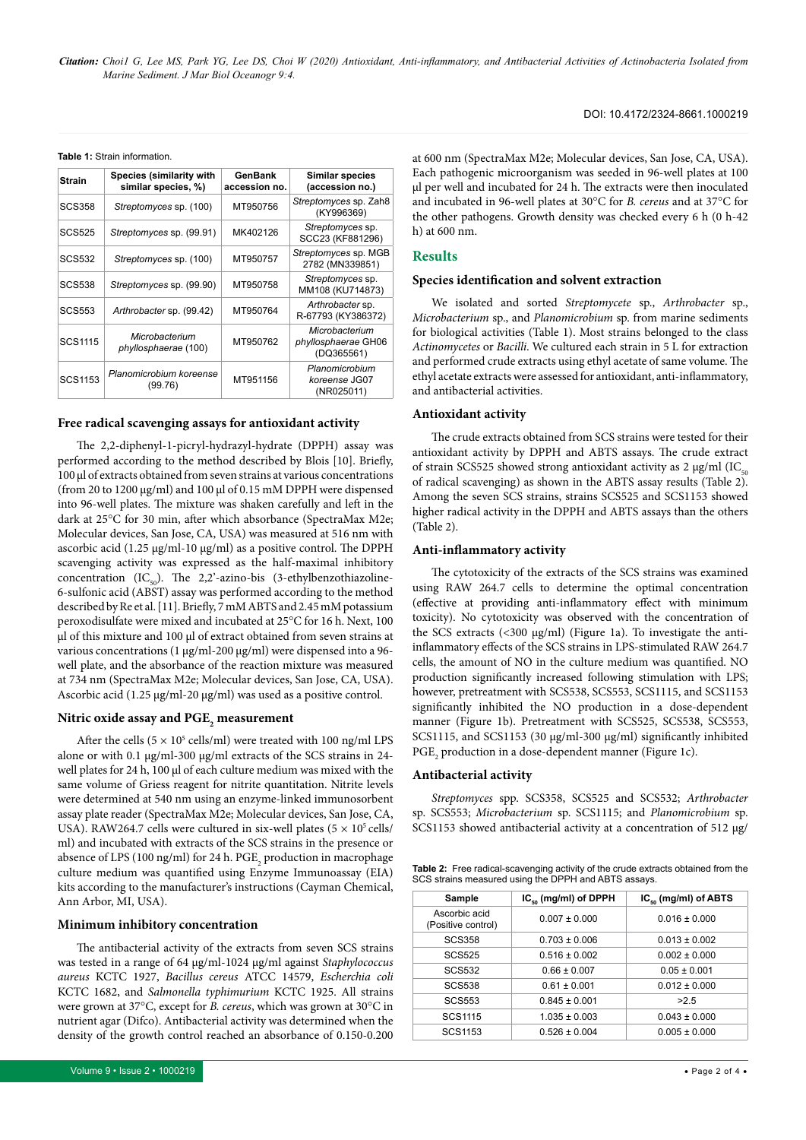*Citation: Choi1 G, Lee MS, Park YG, Lee DS, Choi W (2020) Antioxidant, Anti-inflammatory, and Antibacterial Activities of Actinobacteria Isolated from Marine Sediment. J Mar Biol Oceanogr 9:4.*

#### **Table 1:** Strain information.

| <b>Strain</b>  | Species (similarity with<br>similar species, %) | GenBank<br>accession no. | <b>Similar species</b><br>(accession no.)           |
|----------------|-------------------------------------------------|--------------------------|-----------------------------------------------------|
| <b>SCS358</b>  | Streptomyces sp. (100)                          | MT950756                 | Streptomyces sp. Zah8<br>(KY996369)                 |
| <b>SCS525</b>  | Streptomyces sp. (99.91)                        | MK402126                 | Streptomyces sp.<br>SCC23 (KF881296)                |
| SCS532         | Streptomyces sp. (100)                          | MT950757                 | Streptomyces sp. MGB<br>2782 (MN339851)             |
| <b>SCS538</b>  | Streptomyces sp. (99.90)                        | MT950758                 | Streptomyces sp.<br>MM108 (KU714873)                |
| <b>SCS553</b>  | Arthrobacter sp. (99.42)                        | MT950764                 | Arthrobacter sp.<br>R-67793 (KY386372)              |
| <b>SCS1115</b> | Microbacterium<br>phyllosphaerae (100)          | MT950762                 | Microbacterium<br>phyllosphaerae GH06<br>(DQ365561) |
| SCS1153        | Planomicrobium koreense<br>(99.76)              | MT951156                 | Planomicrobium<br>koreense JG07<br>(NR025011)       |

#### **Free radical scavenging assays for antioxidant activity**

The 2,2-diphenyl-1-picryl-hydrazyl-hydrate (DPPH) assay was performed according to the method described by Blois [10]. Briefly, 100 µl of extracts obtained from seven strains at various concentrations (from 20 to 1200 µg/ml) and 100 µl of 0.15 mM DPPH were dispensed into 96-well plates. The mixture was shaken carefully and left in the dark at 25°C for 30 min, after which absorbance (SpectraMax M2e; Molecular devices, San Jose, CA, USA) was measured at 516 nm with ascorbic acid (1.25 µg/ml-10 µg/ml) as a positive control. The DPPH scavenging activity was expressed as the half-maximal inhibitory concentration (IC<sub>50</sub>). The 2,2'-azino-bis (3-ethylbenzothiazoline-6-sulfonic acid (ABST) assay was performed according to the method described by Re et al. [11]. Briefly, 7 mM ABTS and 2.45 mM potassium peroxodisulfate were mixed and incubated at 25°C for 16 h. Next, 100 µl of this mixture and 100 µl of extract obtained from seven strains at various concentrations (1 µg/ml-200 µg/ml) were dispensed into a 96 well plate, and the absorbance of the reaction mixture was measured at 734 nm (SpectraMax M2e; Molecular devices, San Jose, CA, USA). Ascorbic acid (1.25 µg/ml-20 µg/ml) was used as a positive control.

# **Nitric oxide assay and PGE2 measurement**

After the cells ( $5 \times 10^5$  cells/ml) were treated with 100 ng/ml LPS alone or with 0.1 µg/ml-300 µg/ml extracts of the SCS strains in 24 well plates for 24 h, 100 µl of each culture medium was mixed with the same volume of Griess reagent for nitrite quantitation. Nitrite levels were determined at 540 nm using an enzyme-linked immunosorbent assay plate reader (SpectraMax M2e; Molecular devices, San Jose, CA, USA). RAW264.7 cells were cultured in six-well plates  $(5 \times 10^5 \text{ cells})$ ml) and incubated with extracts of the SCS strains in the presence or absence of LPS (100 ng/ml) for 24 h.  $\mathrm{PGE}_2$  production in macrophage culture medium was quantified using Enzyme Immunoassay (EIA) kits according to the manufacturer's instructions (Cayman Chemical, Ann Arbor, MI, USA).

#### **Minimum inhibitory concentration**

The antibacterial activity of the extracts from seven SCS strains was tested in a range of 64 µg/ml-1024 µg/ml against *Staphylococcus aureus* KCTC 1927, *Bacillus cereus* ATCC 14579, *Escherchia coli* KCTC 1682, and *Salmonella typhimurium* KCTC 1925. All strains were grown at 37°C, except for *B. cereus*, which was grown at 30°C in nutrient agar (Difco). Antibacterial activity was determined when the density of the growth control reached an absorbance of 0.150-0.200 at 600 nm (SpectraMax M2e; Molecular devices, San Jose, CA, USA). Each pathogenic microorganism was seeded in 96-well plates at 100 µl per well and incubated for 24 h. The extracts were then inoculated and incubated in 96-well plates at 30°C for *B. cereus* and at 37°C for the other pathogens. Growth density was checked every 6 h (0 h-42 h) at 600 nm.

#### **Results**

#### **Species identification and solvent extraction**

We isolated and sorted *Streptomycete* sp., *Arthrobacter* sp., *Microbacterium* sp., and *Planomicrobium* sp. from marine sediments for biological activities (Table 1). Most strains belonged to the class *Actinomycetes* or *Bacilli*. We cultured each strain in 5 L for extraction and performed crude extracts using ethyl acetate of same volume. The ethyl acetate extracts were assessed for antioxidant, anti-inflammatory, and antibacterial activities.

#### **Antioxidant activity**

The crude extracts obtained from SCS strains were tested for their antioxidant activity by DPPH and ABTS assays. The crude extract of strain SCS525 showed strong antioxidant activity as 2  $\mu$ g/ml (IC<sub>50</sub> of radical scavenging) as shown in the ABTS assay results (Table 2). Among the seven SCS strains, strains SCS525 and SCS1153 showed higher radical activity in the DPPH and ABTS assays than the others (Table 2).

#### **Anti-inflammatory activity**

The cytotoxicity of the extracts of the SCS strains was examined using RAW 264.7 cells to determine the optimal concentration (effective at providing anti-inflammatory effect with minimum toxicity). No cytotoxicity was observed with the concentration of the SCS extracts  $\left($  < 300  $\mu$ g/ml) (Figure 1a). To investigate the antiinflammatory effects of the SCS strains in LPS-stimulated RAW 264.7 cells, the amount of NO in the culture medium was quantified. NO production significantly increased following stimulation with LPS; however, pretreatment with SCS538, SCS553, SCS1115, and SCS1153 significantly inhibited the NO production in a dose-dependent manner (Figure 1b). Pretreatment with SCS525, SCS538, SCS553, SCS1115, and SCS1153 (30  $\mu$ g/ml-300  $\mu$ g/ml) significantly inhibited PGE<sub>2</sub> production in a dose-dependent manner (Figure 1c).

#### **Antibacterial activity**

*Streptomyces* spp. SCS358, SCS525 and SCS532; *Arthrobacter*  sp. SCS553; *Microbacterium* sp. SCS1115; and *Planomicrobium* sp. SCS1153 showed antibacterial activity at a concentration of 512 µg/

**Table 2:** Free radical-scavenging activity of the crude extracts obtained from the SCS strains measured using the DPPH and ABTS assays.

| Sample                              | $IC_{\kappa_0}$ (mg/ml) of DPPH | $IC_{\kappa}$ (mg/ml) of ABTS |  |  |
|-------------------------------------|---------------------------------|-------------------------------|--|--|
| Ascorbic acid<br>(Positive control) | $0.007 \pm 0.000$               | $0.016 \pm 0.000$             |  |  |
| <b>SCS358</b>                       | $0.703 \pm 0.006$               | $0.013 \pm 0.002$             |  |  |
| <b>SCS525</b>                       | $0.516 \pm 0.002$               | $0.002 \pm 0.000$             |  |  |
| <b>SCS532</b>                       | $0.66 \pm 0.007$                | $0.05 \pm 0.001$              |  |  |
| <b>SCS538</b>                       | $0.61 \pm 0.001$                | $0.012 \pm 0.000$             |  |  |
| <b>SCS553</b>                       | $0.845 \pm 0.001$               | >2.5                          |  |  |
| SCS1115                             | $1.035 \pm 0.003$               | $0.043 \pm 0.000$             |  |  |
| SCS1153                             | $0.526 \pm 0.004$               | $0.005 \pm 0.000$             |  |  |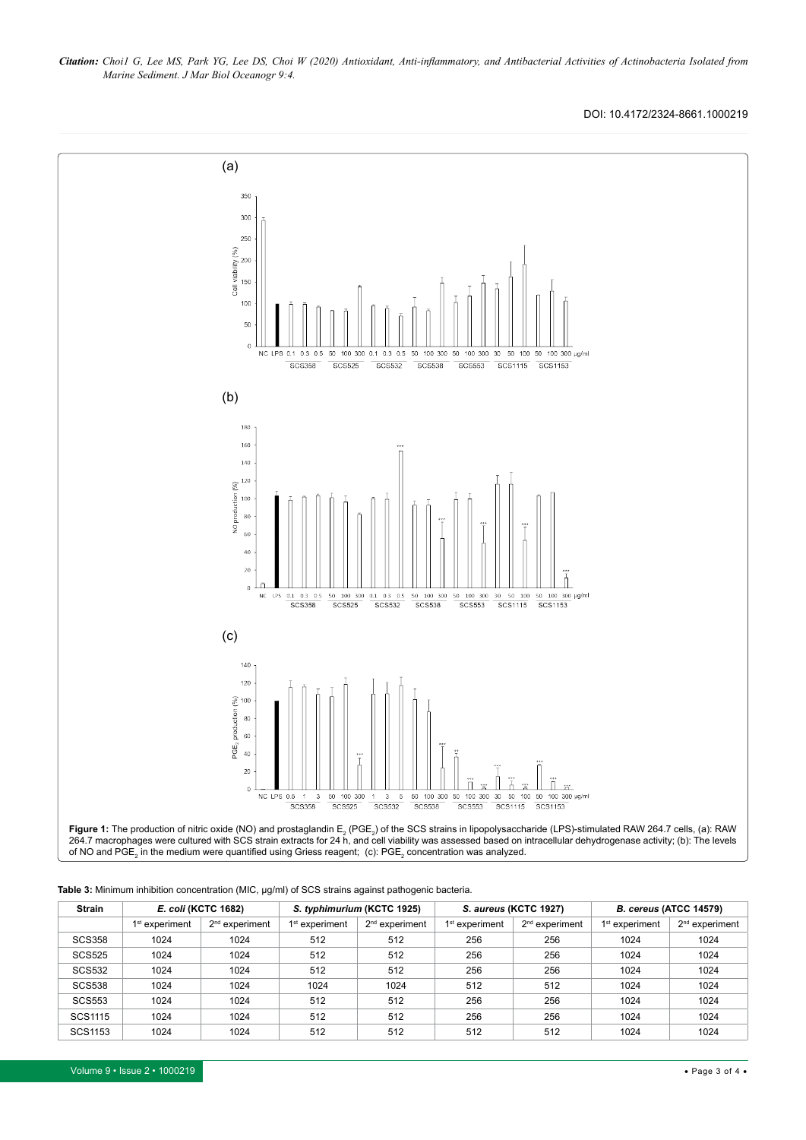*Citation: Choi1 G, Lee MS, Park YG, Lee DS, Choi W (2020) Antioxidant, Anti-inflammatory, and Antibacterial Activities of Actinobacteria Isolated from Marine Sediment. J Mar Biol Oceanogr 9:4.*

DOI: 10.4172/2324-8661.1000219



| Table 3: Minimum inhibition concentration (MIC, µg/ml) of SCS strains against pathogenic bacteria. |  |
|----------------------------------------------------------------------------------------------------|--|
|                                                                                                    |  |

| <b>Strain</b>  | E. coli (KCTC 1682)        |                  | S. typhimurium (KCTC 1925) |                  | S. aureus (KCTC 1927) |                  | B. cereus (ATCC 14579)     |                            |
|----------------|----------------------------|------------------|----------------------------|------------------|-----------------------|------------------|----------------------------|----------------------------|
|                | 1 <sup>st</sup> experiment | $2nd$ experiment | $1st$ experiment           | $2nd$ experiment | $1st$ experiment      | $2nd$ experiment | 1 <sup>st</sup> experiment | 2 <sup>nd</sup> experiment |
| <b>SCS358</b>  | 1024                       | 1024             | 512                        | 512              | 256                   | 256              | 1024                       | 1024                       |
| <b>SCS525</b>  | 1024                       | 1024             | 512                        | 512              | 256                   | 256              | 1024                       | 1024                       |
| <b>SCS532</b>  | 1024                       | 1024             | 512                        | 512              | 256                   | 256              | 1024                       | 1024                       |
| <b>SCS538</b>  | 1024                       | 1024             | 1024                       | 1024             | 512                   | 512              | 1024                       | 1024                       |
| <b>SCS553</b>  | 1024                       | 1024             | 512                        | 512              | 256                   | 256              | 1024                       | 1024                       |
| SCS1115        | 1024                       | 1024             | 512                        | 512              | 256                   | 256              | 1024                       | 1024                       |
| <b>SCS1153</b> | 1024                       | 1024             | 512                        | 512              | 512                   | 512              | 1024                       | 1024                       |